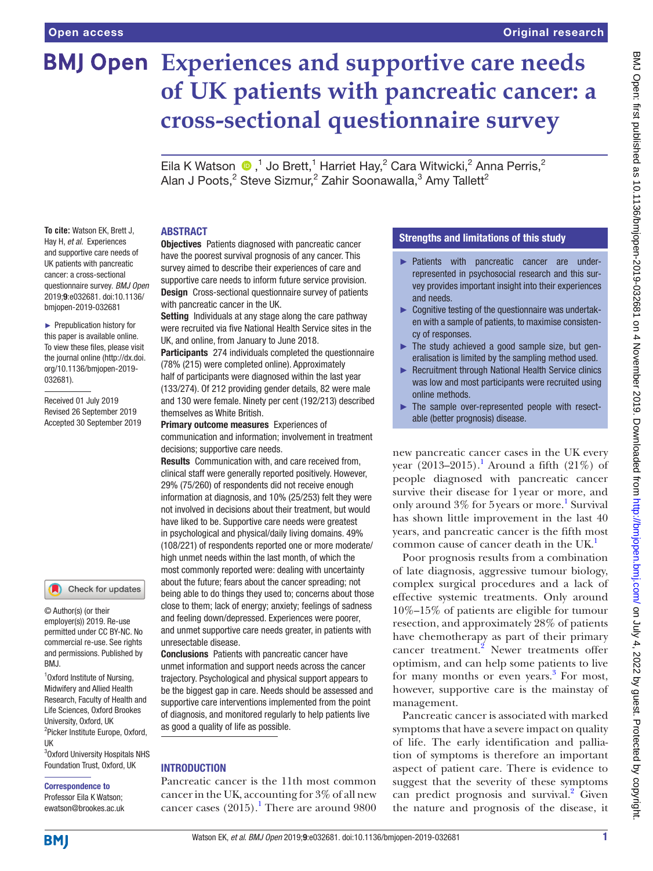# **Experiences and supportive care needs of UK patients with pancreatic cancer: a cross-sectional questionnaire survey**

Eila K Watson  $\bigcirc$ ,<sup>1</sup> Jo Brett,<sup>1</sup> Harriet Hay,<sup>2</sup> Cara Witwicki,<sup>2</sup> Anna Perris,<sup>2</sup> Alan J Poots,<sup>2</sup> Steve Sizmur,<sup>2</sup> Zahir Soonawalla,<sup>3</sup> Amy Tallett<sup>2</sup>

#### **ABSTRACT**

**To cite:** Watson EK, Brett J, Hay H, *et al*. Experiences and supportive care needs of UK patients with pancreatic cancer: a cross-sectional questionnaire survey. *BMJ Open* 2019;9:e032681. doi:10.1136/ bmjopen-2019-032681

► Prepublication history for this paper is available online. To view these files, please visit the journal online (http://dx.doi. org/10.1136/bmjopen-2019- 032681).

Received 01 July 2019 Revised 26 September 2019 Accepted 30 September 2019



© Author(s) (or their employer(s)) 2019. Re-use permitted under CC BY-NC. No commercial re-use. See rights and permissions. Published by BMJ.

1 Oxford Institute of Nursing, Midwifery and Allied Health Research, Faculty of Health and Life Sciences, Oxford Brookes University, Oxford, UK <sup>2</sup>Picker Institute Europe, Oxford, UK

3 Oxford University Hospitals NHS Foundation Trust, Oxford, UK

#### Correspondence to

Professor Eila K Watson; ewatson@brookes.ac.uk Objectives Patients diagnosed with pancreatic cancer have the poorest survival prognosis of any cancer. This survey aimed to describe their experiences of care and supportive care needs to inform future service provision. **Design** Cross-sectional questionnaire survey of patients with pancreatic cancer in the UK.

Setting Individuals at any stage along the care pathway were recruited via five National Health Service sites in the UK, and online, from January to June 2018.

Participants 274 individuals completed the questionnaire (78% (215) were completed online). Approximately half of participants were diagnosed within the last year (133/274). Of 212 providing gender details, 82 were male and 130 were female. Ninety per cent (192/213) described themselves as White British.

Primary outcome measures Experiences of communication and information; involvement in treatment decisions; supportive care needs.

Results Communication with, and care received from, clinical staff were generally reported positively. However, 29% (75/260) of respondents did not receive enough information at diagnosis, and 10% (25/253) felt they were not involved in decisions about their treatment, but would have liked to be. Supportive care needs were greatest in psychological and physical/daily living domains. 49% (108/221) of respondents reported one or more moderate/ high unmet needs within the last month, of which the most commonly reported were: dealing with uncertainty about the future; fears about the cancer spreading; not being able to do things they used to; concerns about those close to them; lack of energy; anxiety; feelings of sadness and feeling down/depressed. Experiences were poorer, and unmet supportive care needs greater, in patients with unresectable disease.

Conclusions Patients with pancreatic cancer have unmet information and support needs across the cancer trajectory. Psychological and physical support appears to be the biggest gap in care. Needs should be assessed and supportive care interventions implemented from the point of diagnosis, and monitored regularly to help patients live as good a quality of life as possible.

#### **INTRODUCTION**

Pancreatic cancer is the 11th most common cancer in the UK, accounting for 3% of all new cancer cases  $(2015)$ .<sup>1</sup> There are around  $9800$ 

### Strengths and limitations of this study

- ► Patients with pancreatic cancer are underrepresented in psychosocial research and this survey provides important insight into their experiences and needs.
- ► Cognitive testing of the questionnaire was undertaken with a sample of patients, to maximise consistency of responses.
- ► The study achieved a good sample size, but generalisation is limited by the sampling method used.
- ► Recruitment through National Health Service clinics was low and most participants were recruited using online methods.
- ► The sample over-represented people with resectable (better prognosis) disease.

new pancreatic cancer cases in the UK every year  $(2013-2015)$ .<sup>1</sup> Around a fifth  $(21\%)$  of people diagnosed with pancreatic cancer survive their disease for 1year or more, and only around 3% for 5 years or more.<sup>[1](#page-5-0)</sup> Survival has shown little improvement in the last 40 years, and pancreatic cancer is the fifth most common cause of cancer death in the UK.<sup>[1](#page-5-0)</sup>

Poor prognosis results from a combination of late diagnosis, aggressive tumour biology, complex surgical procedures and a lack of effective systemic treatments. Only around 10%–15% of patients are eligible for tumour resection, and approximately 28% of patients have chemotherapy as part of their primary cancer treatment.<sup>[2](#page-5-1)</sup> Newer treatments offer optimism, and can help some patients to live for many months or even years.<sup>[3](#page-5-2)</sup> For most, however, supportive care is the mainstay of management.

Pancreatic cancer is associated with marked symptoms that have a severe impact on quality of life. The early identification and palliation of symptoms is therefore an important aspect of patient care. There is evidence to suggest that the severity of these symptoms can predict prognosis and survival.<sup>2</sup> Given the nature and prognosis of the disease, it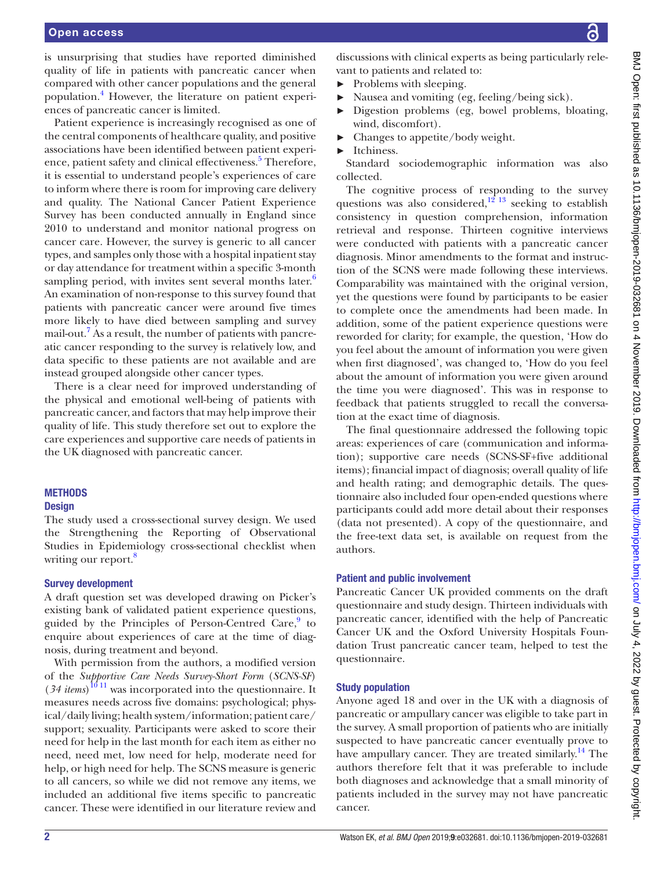#### Open access

is unsurprising that studies have reported diminished quality of life in patients with pancreatic cancer when compared with other cancer populations and the general population.<sup>4</sup> However, the literature on patient experiences of pancreatic cancer is limited.

Patient experience is increasingly recognised as one of the central components of healthcare quality, and positive associations have been identified between patient experi-ence, patient safety and clinical effectiveness.<sup>[5](#page-5-4)</sup> Therefore, it is essential to understand people's experiences of care to inform where there is room for improving care delivery and quality. The National Cancer Patient Experience Survey has been conducted annually in England since 2010 to understand and monitor national progress on cancer care. However, the survey is generic to all cancer types, and samples only those with a hospital inpatient stay or day attendance for treatment within a specific 3-month sampling period, with invites sent several months later.<sup>[6](#page-5-5)</sup> An examination of non-response to this survey found that patients with pancreatic cancer were around five times more likely to have died between sampling and survey mail-out.<sup>[7](#page-6-0)</sup> As a result, the number of patients with pancreatic cancer responding to the survey is relatively low, and data specific to these patients are not available and are instead grouped alongside other cancer types.

There is a clear need for improved understanding of the physical and emotional well-being of patients with pancreatic cancer, and factors that may help improve their quality of life. This study therefore set out to explore the care experiences and supportive care needs of patients in the UK diagnosed with pancreatic cancer.

# **METHODS**

#### **Design**

The study used a cross-sectional survey design. We used the Strengthening the Reporting of Observational Studies in Epidemiology cross-sectional checklist when writing our report.<sup>[8](#page-6-1)</sup>

#### Survey development

A draft question set was developed drawing on Picker's existing bank of validated patient experience questions, guided by the Principles of Person-Centred Care,<sup>[9](#page-6-2)</sup> to enquire about experiences of care at the time of diagnosis, during treatment and beyond.

With permission from the authors, a modified version of the *Supportive Care Needs Survey-Short Form* (*SCNS-SF*) (*34 items*) [10 11](#page-6-3) was incorporated into the questionnaire. It measures needs across five domains: psychological; physical/daily living; health system/information; patient care/ support; sexuality. Participants were asked to score their need for help in the last month for each item as either no need, need met, low need for help, moderate need for help, or high need for help. The SCNS measure is generic to all cancers, so while we did not remove any items, we included an additional five items specific to pancreatic cancer. These were identified in our literature review and

discussions with clinical experts as being particularly relevant to patients and related to:

- Problems with sleeping.
- ► Nausea and vomiting (eg, feeling/being sick).
- ► Digestion problems (eg, bowel problems, bloating, wind, discomfort).
- ► Changes to appetite/body weight.
- Itchiness.

Standard sociodemographic information was also collected.

The cognitive process of responding to the survey questions was also considered, $12^{13}$  seeking to establish consistency in question comprehension, information retrieval and response. Thirteen cognitive interviews were conducted with patients with a pancreatic cancer diagnosis. Minor amendments to the format and instruction of the SCNS were made following these interviews. Comparability was maintained with the original version, yet the questions were found by participants to be easier to complete once the amendments had been made. In addition, some of the patient experience questions were reworded for clarity; for example, the question, 'How do you feel about the amount of information you were given when first diagnosed', was changed to, 'How do you feel about the amount of information you were given around the time you were diagnosed'. This was in response to feedback that patients struggled to recall the conversation at the exact time of diagnosis.

The final questionnaire addressed the following topic areas: experiences of care (communication and information); supportive care needs (SCNS-SF+five additional items); financial impact of diagnosis; overall quality of life and health rating; and demographic details. The questionnaire also included four open-ended questions where participants could add more detail about their responses (data not presented). A copy of the questionnaire, and the free-text data set, is available on request from the authors.

# Patient and public involvement

Pancreatic Cancer UK provided comments on the draft questionnaire and study design. Thirteen individuals with pancreatic cancer, identified with the help of Pancreatic Cancer UK and the Oxford University Hospitals Foundation Trust pancreatic cancer team, helped to test the questionnaire.

# Study population

Anyone aged 18 and over in the UK with a diagnosis of pancreatic or ampullary cancer was eligible to take part in the survey. A small proportion of patients who are initially suspected to have pancreatic cancer eventually prove to have ampullary cancer. They are treated similarly.<sup>14</sup> The authors therefore felt that it was preferable to include both diagnoses and acknowledge that a small minority of patients included in the survey may not have pancreatic cancer.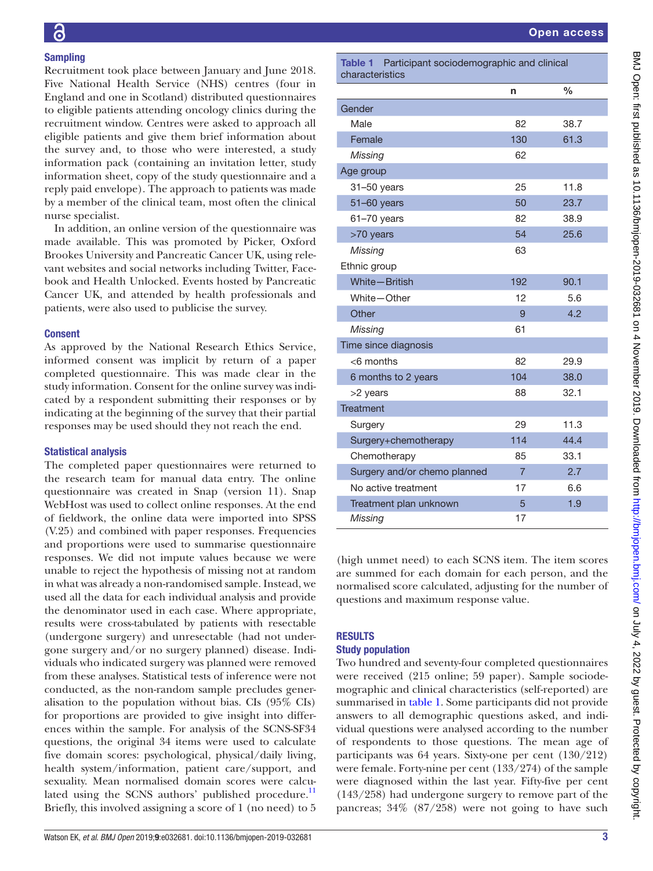### **Sampling**

Recruitment took place between January and June 2018. Five National Health Service (NHS) centres (four in England and one in Scotland) distributed questionnaires to eligible patients attending oncology clinics during the recruitment window. Centres were asked to approach all eligible patients and give them brief information about the survey and, to those who were interested, a study information pack (containing an invitation letter, study information sheet, copy of the study questionnaire and a reply paid envelope). The approach to patients was made by a member of the clinical team, most often the clinical nurse specialist.

In addition, an online version of the questionnaire was made available. This was promoted by Picker, Oxford Brookes University and Pancreatic Cancer UK, using relevant websites and social networks including Twitter, Facebook and Health Unlocked. Events hosted by Pancreatic Cancer UK, and attended by health professionals and patients, were also used to publicise the survey.

#### Consent

As approved by the National Research Ethics Service, informed consent was implicit by return of a paper completed questionnaire. This was made clear in the study information. Consent for the online survey was indicated by a respondent submitting their responses or by indicating at the beginning of the survey that their partial responses may be used should they not reach the end.

#### Statistical analysis

The completed paper questionnaires were returned to the research team for manual data entry. The online questionnaire was created in Snap (version 11). Snap WebHost was used to collect online responses. At the end of fieldwork, the online data were imported into SPSS (V.25) and combined with paper responses. Frequencies and proportions were used to summarise questionnaire responses. We did not impute values because we were unable to reject the hypothesis of missing not at random in what was already a non-randomised sample. Instead, we used all the data for each individual analysis and provide the denominator used in each case. Where appropriate, results were cross-tabulated by patients with resectable (undergone surgery) and unresectable (had not undergone surgery and/or no surgery planned) disease. Individuals who indicated surgery was planned were removed from these analyses. Statistical tests of inference were not conducted, as the non-random sample precludes generalisation to the population without bias. CIs (95% CIs) for proportions are provided to give insight into differences within the sample. For analysis of the SCNS-SF34 questions, the original 34 items were used to calculate five domain scores: psychological, physical/daily living, health system/information, patient care/support, and sexuality. Mean normalised domain scores were calcu-lated using the SCNS authors' published procedure.<sup>[11](#page-6-6)</sup> Briefly, this involved assigning a score of 1 (no need) to 5

<span id="page-2-0"></span>Table 1 Participant sociodemographic and clinical characteristics

|                              | n              | $\%$ |
|------------------------------|----------------|------|
| Gender                       |                |      |
| Male                         | 82             | 38.7 |
| Female                       | 130            | 61.3 |
| Missing                      | 62             |      |
| Age group                    |                |      |
| $31 - 50$ years              | 25             | 11.8 |
| 51-60 years                  | 50             | 23.7 |
| $61 - 70$ years              | 82             | 38.9 |
| >70 years                    | 54             | 25.6 |
| Missing                      | 63             |      |
| Ethnic group                 |                |      |
| White-British                | 192            | 90.1 |
| White-Other                  | 12             | 5.6  |
| Other                        | 9              | 4.2  |
| Missing                      | 61             |      |
| Time since diagnosis         |                |      |
| $<$ 6 months                 | 82             | 29.9 |
| 6 months to 2 years          | 104            | 38.0 |
| >2 years                     | 88             | 32.1 |
| <b>Treatment</b>             |                |      |
| Surgery                      | 29             | 11.3 |
| Surgery+chemotherapy         | 114            | 44.4 |
| Chemotherapy                 | 85             | 33.1 |
| Surgery and/or chemo planned | $\overline{7}$ | 2.7  |
| No active treatment          | 17             | 6.6  |
| Treatment plan unknown       | 5              | 1.9  |
| Missing                      | 17             |      |

(high unmet need) to each SCNS item. The item scores are summed for each domain for each person, and the normalised score calculated, adjusting for the number of questions and maximum response value.

# **RESULTS**

#### Study population

Two hundred and seventy-four completed questionnaires were received (215 online; 59 paper). Sample sociodemographic and clinical characteristics (self-reported) are summarised in [table](#page-2-0) 1. Some participants did not provide answers to all demographic questions asked, and individual questions were analysed according to the number of respondents to those questions. The mean age of participants was 64 years. Sixty-one per cent (130/212) were female. Forty-nine per cent (133/274) of the sample were diagnosed within the last year. Fifty-five per cent (143/258) had undergone surgery to remove part of the pancreas; 34% (87/258) were not going to have such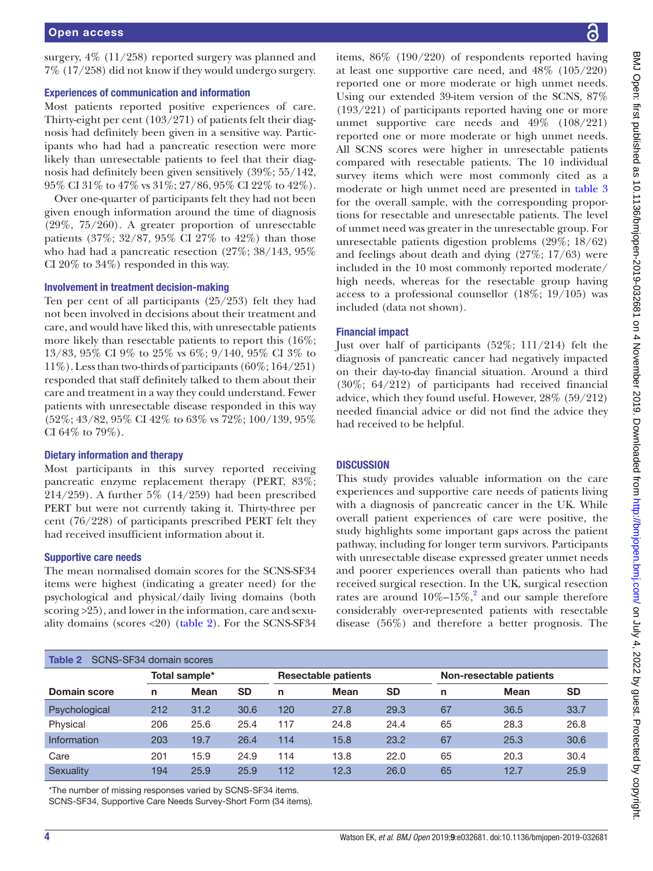surgery,  $4\%$  (11/258) reported surgery was planned and 7% (17/258) did not know if they would undergo surgery.

#### Experiences of communication and information

Most patients reported positive experiences of care. Thirty-eight per cent (103/271) of patients felt their diagnosis had definitely been given in a sensitive way. Participants who had had a pancreatic resection were more likely than unresectable patients to feel that their diagnosis had definitely been given sensitively (39%; 55/142, 95% CI 31% to 47% vs 31%; 27/86, 95% CI 22% to 42%).

Over one-quarter of participants felt they had not been given enough information around the time of diagnosis (29%, 75/260). A greater proportion of unresectable patients (37%; 32/87, 95% CI 27% to 42%) than those who had had a pancreatic resection (27%; 38/143, 95% CI 20% to 34%) responded in this way.

#### Involvement in treatment decision-making

Ten per cent of all participants (25/253) felt they had not been involved in decisions about their treatment and care, and would have liked this, with unresectable patients more likely than resectable patients to report this (16%; 13/83, 95% CI 9% to 25% vs 6%; 9/140, 95% CI 3% to 11%). Less than two-thirds of participants (60%; 164/251) responded that staff definitely talked to them about their care and treatment in a way they could understand. Fewer patients with unresectable disease responded in this way (52%; 43/82, 95% CI 42% to 63% vs 72%; 100/139, 95% CI 64% to 79%).

# Dietary information and therapy

Most participants in this survey reported receiving pancreatic enzyme replacement therapy (PERT, 83%; 214/259). A further 5% (14/259) had been prescribed PERT but were not currently taking it. Thirty-three per cent (76/228) of participants prescribed PERT felt they had received insufficient information about it.

#### Supportive care needs

The mean normalised domain scores for the SCNS-SF34 items were highest (indicating a greater need) for the psychological and physical/daily living domains (both scoring >25), and lower in the information, care and sexuality domains (scores <20) [\(table](#page-3-0) 2). For the SCNS-SF34

items, 86% (190/220) of respondents reported having at least one supportive care need, and 48% (105/220) reported one or more moderate or high unmet needs. Using our extended 39-item version of the SCNS, 87% (193/221) of participants reported having one or more unmet supportive care needs and 49% (108/221) reported one or more moderate or high unmet needs. All SCNS scores were higher in unresectable patients compared with resectable patients. The 10 individual survey items which were most commonly cited as a moderate or high unmet need are presented in [table](#page-4-0) 3 for the overall sample, with the corresponding proportions for resectable and unresectable patients. The level of unmet need was greater in the unresectable group. For unresectable patients digestion problems (29%; 18/62) and feelings about death and dying (27%; 17/63) were included in the 10 most commonly reported moderate/ high needs, whereas for the resectable group having access to a professional counsellor  $(18\%, 19/105)$  was included (data not shown).

# Financial impact

Just over half of participants  $(52\%; 111/214)$  felt the diagnosis of pancreatic cancer had negatively impacted on their day-to-day financial situation. Around a third (30%; 64/212) of participants had received financial advice, which they found useful. However, 28% (59/212) needed financial advice or did not find the advice they had received to be helpful.

# **DISCUSSION**

This study provides valuable information on the care experiences and supportive care needs of patients living with a diagnosis of pancreatic cancer in the UK. While overall patient experiences of care were positive, the study highlights some important gaps across the patient pathway, including for longer term survivors. Participants with unresectable disease expressed greater unmet needs and poorer experiences overall than patients who had received surgical resection. In the UK, surgical resection rates are around  $10\%-15\%,^2$  $10\%-15\%,^2$  and our sample therefore considerably over-represented patients with resectable disease (56%) and therefore a better prognosis. The

<span id="page-3-0"></span>

| SCNS-SF34 domain scores<br>Table 2 |               |             |           |                            |             |           |                         |             |           |
|------------------------------------|---------------|-------------|-----------|----------------------------|-------------|-----------|-------------------------|-------------|-----------|
|                                    | Total sample* |             |           | <b>Resectable patients</b> |             |           | Non-resectable patients |             |           |
| Domain score                       | n             | <b>Mean</b> | <b>SD</b> | n                          | <b>Mean</b> | <b>SD</b> | n                       | <b>Mean</b> | <b>SD</b> |
| Psychological                      | 212           | 31.2        | 30.6      | 120                        | 27.8        | 29.3      | 67                      | 36.5        | 33.7      |
| Physical                           | 206           | 25.6        | 25.4      | 117                        | 24.8        | 24.4      | 65                      | 28.3        | 26.8      |
| Information                        | 203           | 19.7        | 26.4      | 114                        | 15.8        | 23.2      | 67                      | 25.3        | 30.6      |
| Care                               | 201           | 15.9        | 24.9      | 114                        | 13.8        | 22.0      | 65                      | 20.3        | 30.4      |
| Sexuality                          | 194           | 25.9        | 25.9      | 112                        | 12.3        | 26.0      | 65                      | 12.7        | 25.9      |

\*The number of missing responses varied by SCNS-SF34 items.

SCNS-SF34, Supportive Care Needs Survey-Short Form (34 items).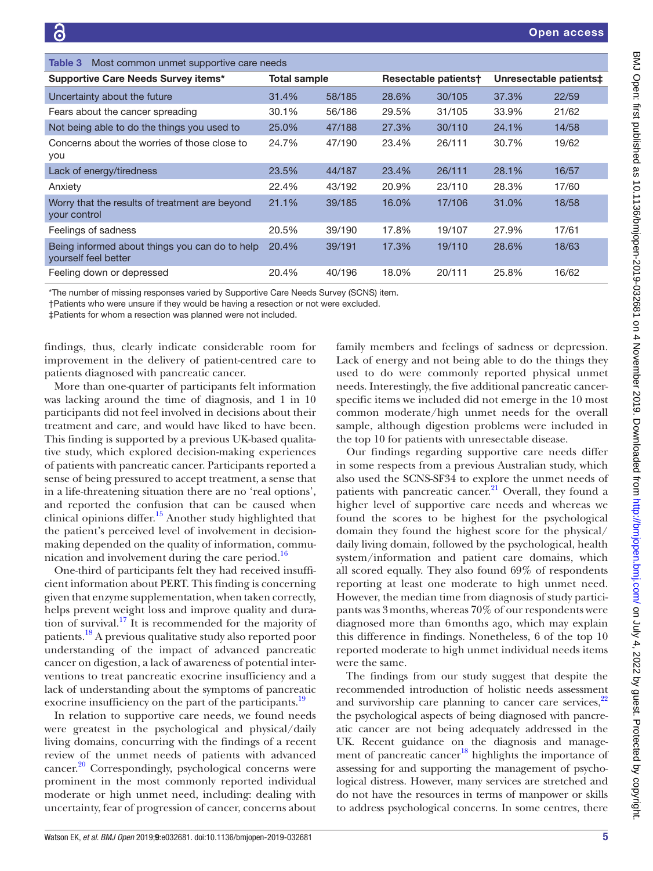<span id="page-4-0"></span>

| Most common unmet supportive care needs<br>Table 3                     |              |        |                      |        |                        |       |  |  |
|------------------------------------------------------------------------|--------------|--------|----------------------|--------|------------------------|-------|--|--|
| Supportive Care Needs Survey items*                                    | Total sample |        | Resectable patientst |        | Unresectable patients‡ |       |  |  |
| Uncertainty about the future                                           | 31.4%        | 58/185 | 28.6%                | 30/105 | 37.3%                  | 22/59 |  |  |
| Fears about the cancer spreading                                       | 30.1%        | 56/186 | 29.5%                | 31/105 | 33.9%                  | 21/62 |  |  |
| Not being able to do the things you used to                            | 25.0%        | 47/188 | 27.3%                | 30/110 | 24.1%                  | 14/58 |  |  |
| Concerns about the worries of those close to<br>you                    | 24.7%        | 47/190 | 23.4%                | 26/111 | 30.7%                  | 19/62 |  |  |
| Lack of energy/tiredness                                               | 23.5%        | 44/187 | 23.4%                | 26/111 | 28.1%                  | 16/57 |  |  |
| Anxiety                                                                | 22.4%        | 43/192 | 20.9%                | 23/110 | 28.3%                  | 17/60 |  |  |
| Worry that the results of treatment are beyond<br>your control         | 21.1%        | 39/185 | 16.0%                | 17/106 | 31.0%                  | 18/58 |  |  |
| Feelings of sadness                                                    | 20.5%        | 39/190 | 17.8%                | 19/107 | 27.9%                  | 17/61 |  |  |
| Being informed about things you can do to help<br>yourself feel better | 20.4%        | 39/191 | 17.3%                | 19/110 | 28.6%                  | 18/63 |  |  |
| Feeling down or depressed                                              | 20.4%        | 40/196 | 18.0%                | 20/111 | 25.8%                  | 16/62 |  |  |

\*The number of missing responses varied by Supportive Care Needs Survey (SCNS) item.

†Patients who were unsure if they would be having a resection or not were excluded.

‡Patients for whom a resection was planned were not included.

findings, thus, clearly indicate considerable room for improvement in the delivery of patient-centred care to patients diagnosed with pancreatic cancer.

More than one-quarter of participants felt information was lacking around the time of diagnosis, and 1 in 10 participants did not feel involved in decisions about their treatment and care, and would have liked to have been. This finding is supported by a previous UK-based qualitative study, which explored decision-making experiences of patients with pancreatic cancer. Participants reported a sense of being pressured to accept treatment, a sense that in a life-threatening situation there are no 'real options', and reported the confusion that can be caused when clinical opinions differ.<sup>15</sup> Another study highlighted that the patient's perceived level of involvement in decisionmaking depended on the quality of information, communication and involvement during the care period. $16$ 

One-third of participants felt they had received insufficient information about PERT. This finding is concerning given that enzyme supplementation, when taken correctly, helps prevent weight loss and improve quality and duration of survival.[17](#page-6-9) It is recommended for the majority of patients.[18](#page-6-10) A previous qualitative study also reported poor understanding of the impact of advanced pancreatic cancer on digestion, a lack of awareness of potential interventions to treat pancreatic exocrine insufficiency and a lack of understanding about the symptoms of pancreatic exocrine insufficiency on the part of the participants.<sup>19</sup>

In relation to supportive care needs, we found needs were greatest in the psychological and physical/daily living domains, concurring with the findings of a recent review of the unmet needs of patients with advanced cancer[.20](#page-6-12) Correspondingly, psychological concerns were prominent in the most commonly reported individual moderate or high unmet need, including: dealing with uncertainty, fear of progression of cancer, concerns about

family members and feelings of sadness or depression. Lack of energy and not being able to do the things they used to do were commonly reported physical unmet needs. Interestingly, the five additional pancreatic cancerspecific items we included did not emerge in the 10 most common moderate/high unmet needs for the overall sample, although digestion problems were included in the top 10 for patients with unresectable disease.

Our findings regarding supportive care needs differ in some respects from a previous Australian study, which also used the SCNS-SF34 to explore the unmet needs of patients with pancreatic cancer. $^{21}$  Overall, they found a higher level of supportive care needs and whereas we found the scores to be highest for the psychological domain they found the highest score for the physical/ daily living domain, followed by the psychological, health system/information and patient care domains, which all scored equally. They also found 69% of respondents reporting at least one moderate to high unmet need. However, the median time from diagnosis of study participants was 3months, whereas 70% of our respondents were diagnosed more than 6months ago, which may explain this difference in findings. Nonetheless, 6 of the top 10 reported moderate to high unmet individual needs items were the same.

The findings from our study suggest that despite the recommended introduction of holistic needs assessment and survivorship care planning to cancer care services, $2^2$ the psychological aspects of being diagnosed with pancreatic cancer are not being adequately addressed in the UK. Recent guidance on the diagnosis and management of pancreatic cancer<sup>18</sup> highlights the importance of assessing for and supporting the management of psychological distress. However, many services are stretched and do not have the resources in terms of manpower or skills to address psychological concerns. In some centres, there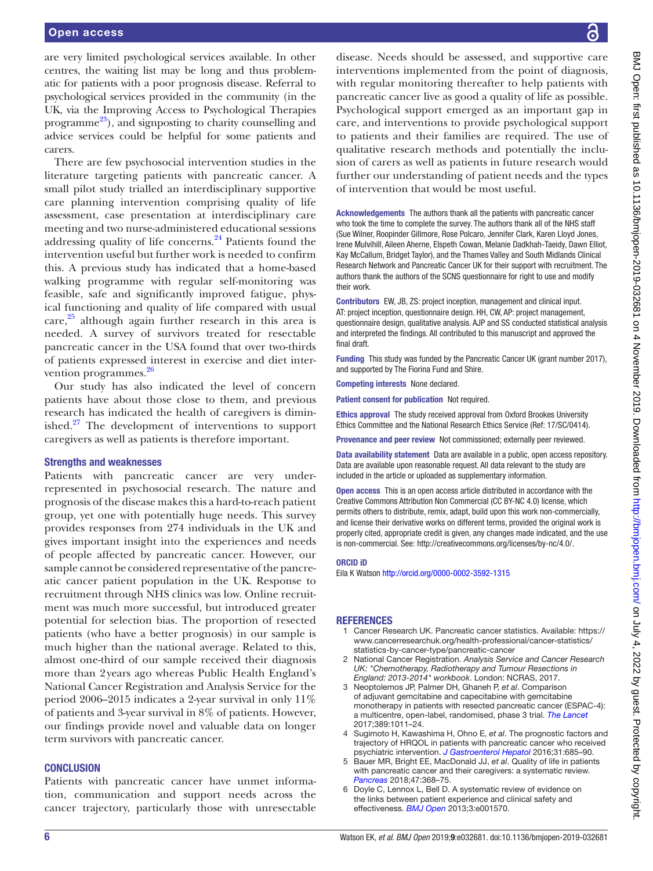are very limited psychological services available. In other centres, the waiting list may be long and thus problematic for patients with a poor prognosis disease. Referral to psychological services provided in the community (in the UK, via the Improving Access to Psychological Therapies programme<sup>[23](#page-6-15)</sup>), and signposting to charity counselling and advice services could be helpful for some patients and carers.

There are few psychosocial intervention studies in the literature targeting patients with pancreatic cancer. A small pilot study trialled an interdisciplinary supportive care planning intervention comprising quality of life assessment, case presentation at interdisciplinary care meeting and two nurse-administered educational sessions addressing quality of life concerns. $24$  Patients found the intervention useful but further work is needed to confirm this. A previous study has indicated that a home-based walking programme with regular self-monitoring was feasible, safe and significantly improved fatigue, physical functioning and quality of life compared with usual  $care<sup>25</sup>$  $care<sup>25</sup>$  $care<sup>25</sup>$ , although again further research in this area is needed. A survey of survivors treated for resectable pancreatic cancer in the USA found that over two-thirds of patients expressed interest in exercise and diet inter-vention programmes.<sup>[26](#page-6-18)</sup>

Our study has also indicated the level of concern patients have about those close to them, and previous research has indicated the health of caregivers is diminished. $27$  The development of interventions to support caregivers as well as patients is therefore important.

#### Strengths and weaknesses

Patients with pancreatic cancer are very underrepresented in psychosocial research. The nature and prognosis of the disease makes this a hard-to-reach patient group, yet one with potentially huge needs. This survey provides responses from 274 individuals in the UK and gives important insight into the experiences and needs of people affected by pancreatic cancer. However, our sample cannot be considered representative of the pancreatic cancer patient population in the UK. Response to recruitment through NHS clinics was low. Online recruitment was much more successful, but introduced greater potential for selection bias. The proportion of resected patients (who have a better prognosis) in our sample is much higher than the national average. Related to this, almost one-third of our sample received their diagnosis more than 2years ago whereas Public Health England's National Cancer Registration and Analysis Service for the period 2006–2015 indicates a 2-year survival in only 11% of patients and 3-year survival in 8% of patients. However, our findings provide novel and valuable data on longer term survivors with pancreatic cancer.

#### **CONCLUSION**

Patients with pancreatic cancer have unmet information, communication and support needs across the cancer trajectory, particularly those with unresectable

disease. Needs should be assessed, and supportive care interventions implemented from the point of diagnosis, with regular monitoring thereafter to help patients with pancreatic cancer live as good a quality of life as possible. Psychological support emerged as an important gap in care, and interventions to provide psychological support to patients and their families are required. The use of qualitative research methods and potentially the inclusion of carers as well as patients in future research would further our understanding of patient needs and the types of intervention that would be most useful.

Acknowledgements The authors thank all the patients with pancreatic cancer who took the time to complete the survey. The authors thank all of the NHS staff (Sue Wilner, Roopinder Gillmore, Rose Polcaro, Jennifer Clark, Karen Lloyd Jones, Irene Mulvihill, Aileen Aherne, Elspeth Cowan, Melanie Dadkhah-Taeidy, Dawn Elliot, Kay McCallum, Bridget Taylor), and the Thames Valley and South Midlands Clinical Research Network and Pancreatic Cancer UK for their support with recruitment. The authors thank the authors of the SCNS questionnaire for right to use and modify their work.

Contributors EW, JB, ZS: project inception, management and clinical input. AT: project inception, questionnaire design. HH, CW, AP: project management, questionnaire design, qualitative analysis. AJP and SS conducted statistical analysis and interpreted the findings. All contributed to this manuscript and approved the final draft.

Funding This study was funded by the Pancreatic Cancer UK (grant number 2017), and supported by The Fiorina Fund and Shire.

Competing interests None declared.

Patient consent for publication Not required.

Ethics approval The study received approval from Oxford Brookes University Ethics Committee and the National Research Ethics Service (Ref: 17/SC/0414).

Provenance and peer review Not commissioned; externally peer reviewed.

Data availability statement Data are available in a public, open access repository. Data are available upon reasonable request. All data relevant to the study are included in the article or uploaded as supplementary information.

Open access This is an open access article distributed in accordance with the Creative Commons Attribution Non Commercial (CC BY-NC 4.0) license, which permits others to distribute, remix, adapt, build upon this work non-commercially, and license their derivative works on different terms, provided the original work is properly cited, appropriate credit is given, any changes made indicated, and the use is non-commercial. See: [http://creativecommons.org/licenses/by-nc/4.0/.](http://creativecommons.org/licenses/by-nc/4.0/)

#### ORCID iD

Eila K Watson<http://orcid.org/0000-0002-3592-1315>

#### **REFERENCES**

- <span id="page-5-0"></span>1 Cancer Research UK. Pancreatic cancer statistics. Available: [https://](https://www.cancerresearchuk.org/health-professional/cancer-statistics/statistics-by-cancer-type/pancreatic-cancer) [www.cancerresearchuk.org/health-professional/cancer-statistics/](https://www.cancerresearchuk.org/health-professional/cancer-statistics/statistics-by-cancer-type/pancreatic-cancer) [statistics-by-cancer-type/pancreatic-cancer](https://www.cancerresearchuk.org/health-professional/cancer-statistics/statistics-by-cancer-type/pancreatic-cancer)
- <span id="page-5-1"></span>2 National Cancer Registration. *Analysis Service and Cancer Research UK: "Chemotherapy, Radiotherapy and Tumour Resections in England: 2013-2014" workbook*. London: NCRAS, 2017.
- <span id="page-5-2"></span>3 Neoptolemos JP, Palmer DH, Ghaneh P, *et al*. Comparison of adjuvant gemcitabine and capecitabine with gemcitabine monotherapy in patients with resected pancreatic cancer (ESPAC-4): a multicentre, open-label, randomised, phase 3 trial. *[The Lancet](http://dx.doi.org/10.1016/S0140-6736(16)32409-6)* 2017;389:1011–24.
- <span id="page-5-3"></span>4 Sugimoto H, Kawashima H, Ohno E, *et al*. The prognostic factors and trajectory of HRQOL in patients with pancreatic cancer who received psychiatric intervention. *[J Gastroenterol Hepatol](http://dx.doi.org/10.1111/jgh.13172)* 2016;31:685–90.
- <span id="page-5-4"></span>5 Bauer MR, Bright EE, MacDonald JJ, *et al*. Quality of life in patients with pancreatic cancer and their caregivers: a systematic review. *[Pancreas](http://dx.doi.org/10.1097/MPA.0000000000001025)* 2018;47:368–75.
- <span id="page-5-5"></span>6 Doyle C, Lennox L, Bell D. A systematic review of evidence on the links between patient experience and clinical safety and effectiveness. *[BMJ Open](http://dx.doi.org/10.1136/bmjopen-2012-001570)* 2013;3:e001570.